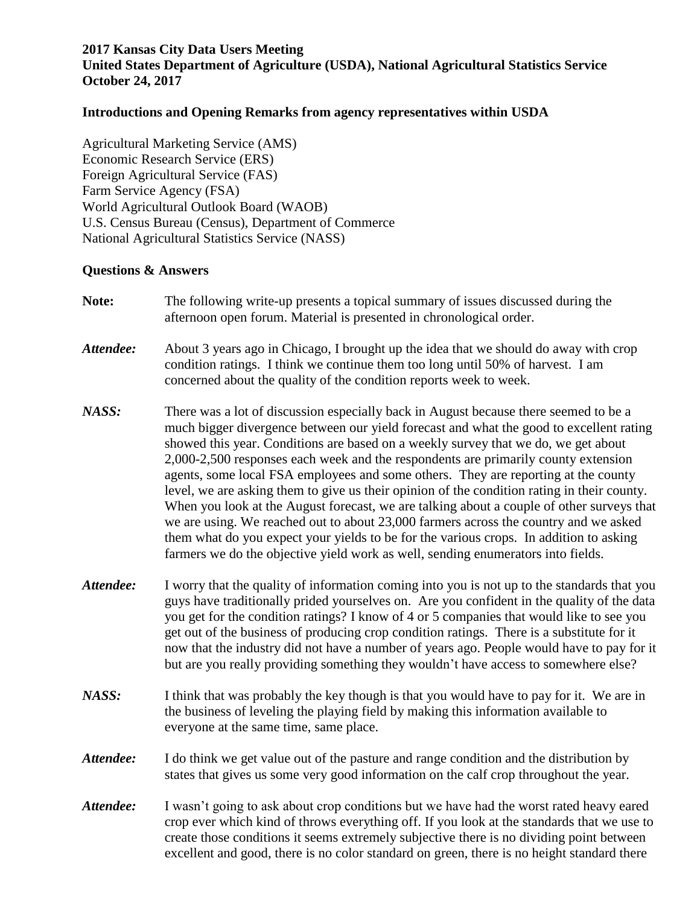## **2017 Kansas City Data Users Meeting United States Department of Agriculture (USDA), National Agricultural Statistics Service October 24, 2017**

## **Introductions and Opening Remarks from agency representatives within USDA**

Agricultural Marketing Service (AMS) Economic Research Service (ERS) Foreign Agricultural Service (FAS) Farm Service Agency (FSA) World Agricultural Outlook Board (WAOB) U.S. Census Bureau (Census), Department of Commerce National Agricultural Statistics Service (NASS)

## **Questions & Answers**

| Note:     | The following write-up presents a topical summary of issues discussed during the<br>afternoon open forum. Material is presented in chronological order.                                                                                                                                                                                                                                                                                                                                                                                                                                                                                                                                                                                                                                                                                                                                                             |
|-----------|---------------------------------------------------------------------------------------------------------------------------------------------------------------------------------------------------------------------------------------------------------------------------------------------------------------------------------------------------------------------------------------------------------------------------------------------------------------------------------------------------------------------------------------------------------------------------------------------------------------------------------------------------------------------------------------------------------------------------------------------------------------------------------------------------------------------------------------------------------------------------------------------------------------------|
| Attendee: | About 3 years ago in Chicago, I brought up the idea that we should do away with crop<br>condition ratings. I think we continue them too long until 50% of harvest. I am<br>concerned about the quality of the condition reports week to week.                                                                                                                                                                                                                                                                                                                                                                                                                                                                                                                                                                                                                                                                       |
| NASS:     | There was a lot of discussion especially back in August because there seemed to be a<br>much bigger divergence between our yield forecast and what the good to excellent rating<br>showed this year. Conditions are based on a weekly survey that we do, we get about<br>2,000-2,500 responses each week and the respondents are primarily county extension<br>agents, some local FSA employees and some others. They are reporting at the county<br>level, we are asking them to give us their opinion of the condition rating in their county.<br>When you look at the August forecast, we are talking about a couple of other surveys that<br>we are using. We reached out to about 23,000 farmers across the country and we asked<br>them what do you expect your yields to be for the various crops. In addition to asking<br>farmers we do the objective yield work as well, sending enumerators into fields. |
| Attendee: | I worry that the quality of information coming into you is not up to the standards that you<br>guys have traditionally prided yourselves on. Are you confident in the quality of the data<br>you get for the condition ratings? I know of 4 or 5 companies that would like to see you<br>get out of the business of producing crop condition ratings. There is a substitute for it<br>now that the industry did not have a number of years ago. People would have to pay for it<br>but are you really providing something they wouldn't have access to somewhere else?                                                                                                                                                                                                                                                                                                                                              |
| NASS:     | I think that was probably the key though is that you would have to pay for it. We are in<br>the business of leveling the playing field by making this information available to<br>everyone at the same time, same place.                                                                                                                                                                                                                                                                                                                                                                                                                                                                                                                                                                                                                                                                                            |
| Attendee: | I do think we get value out of the pasture and range condition and the distribution by<br>states that gives us some very good information on the calf crop throughout the year.                                                                                                                                                                                                                                                                                                                                                                                                                                                                                                                                                                                                                                                                                                                                     |
| Attendee: | I wasn't going to ask about crop conditions but we have had the worst rated heavy eared<br>crop ever which kind of throws everything off. If you look at the standards that we use to<br>create those conditions it seems extremely subjective there is no dividing point between<br>excellent and good, there is no color standard on green, there is no height standard there                                                                                                                                                                                                                                                                                                                                                                                                                                                                                                                                     |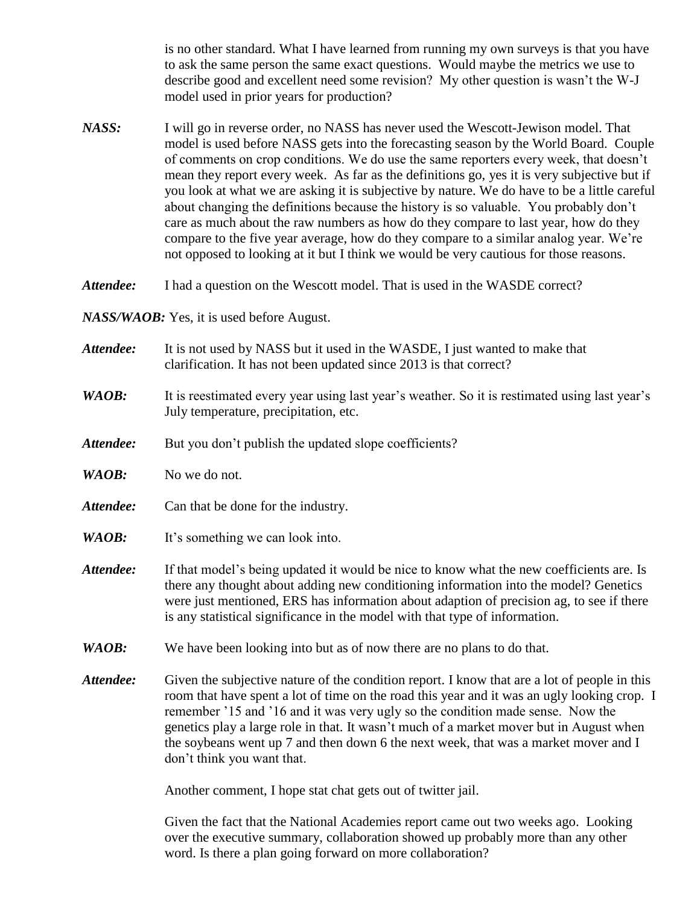is no other standard. What I have learned from running my own surveys is that you have to ask the same person the same exact questions. Would maybe the metrics we use to describe good and excellent need some revision? My other question is wasn't the W-J model used in prior years for production?

*NASS:* I will go in reverse order, no NASS has never used the Wescott-Jewison model. That model is used before NASS gets into the forecasting season by the World Board. Couple of comments on crop conditions. We do use the same reporters every week, that doesn't mean they report every week. As far as the definitions go, yes it is very subjective but if you look at what we are asking it is subjective by nature. We do have to be a little careful about changing the definitions because the history is so valuable. You probably don't care as much about the raw numbers as how do they compare to last year, how do they compare to the five year average, how do they compare to a similar analog year. We're not opposed to looking at it but I think we would be very cautious for those reasons.

*Attendee:* I had a question on the Wescott model. That is used in the WASDE correct?

*NASS/WAOB:* Yes, it is used before August.

| Attendee: | It is not used by NASS but it used in the WASDE, I just wanted to make that |
|-----------|-----------------------------------------------------------------------------|
|           | clarification. It has not been updated since 2013 is that correct?          |

## *WAOB*: It is reestimated every year using last year's weather. So it is restimated using last year's July temperature, precipitation, etc.

- Attendee: But you don't publish the updated slope coefficients?
- *WAOB:* No we do not.
- Attendee: Can that be done for the industry.
- *WAOB:* It's something we can look into.
- *Attendee:* If that model's being updated it would be nice to know what the new coefficients are. Is there any thought about adding new conditioning information into the model? Genetics were just mentioned, ERS has information about adaption of precision ag, to see if there is any statistical significance in the model with that type of information.
- *WAOB:* We have been looking into but as of now there are no plans to do that.
- *Attendee:* Given the subjective nature of the condition report. I know that are a lot of people in this room that have spent a lot of time on the road this year and it was an ugly looking crop. I remember '15 and '16 and it was very ugly so the condition made sense. Now the genetics play a large role in that. It wasn't much of a market mover but in August when the soybeans went up 7 and then down 6 the next week, that was a market mover and I don't think you want that.

Another comment, I hope stat chat gets out of twitter jail.

Given the fact that the National Academies report came out two weeks ago. Looking over the executive summary, collaboration showed up probably more than any other word. Is there a plan going forward on more collaboration?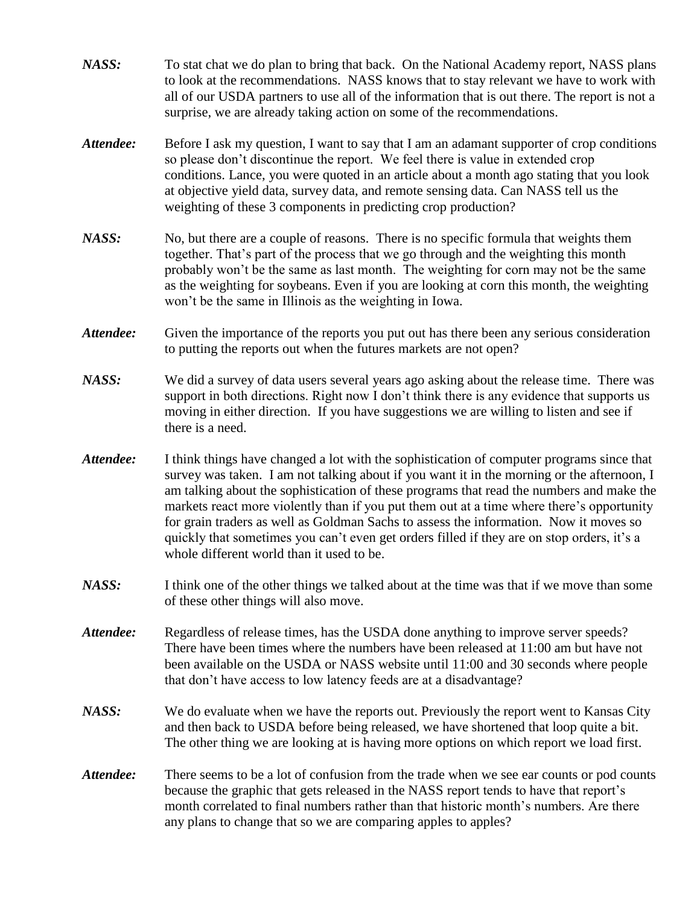- *NASS:* To stat chat we do plan to bring that back. On the National Academy report, NASS plans to look at the recommendations. NASS knows that to stay relevant we have to work with all of our USDA partners to use all of the information that is out there. The report is not a surprise, we are already taking action on some of the recommendations.
- *Attendee:* Before I ask my question, I want to say that I am an adamant supporter of crop conditions so please don't discontinue the report. We feel there is value in extended crop conditions. Lance, you were quoted in an article about a month ago stating that you look at objective yield data, survey data, and remote sensing data. Can NASS tell us the weighting of these 3 components in predicting crop production?
- *NASS:* No, but there are a couple of reasons. There is no specific formula that weights them together. That's part of the process that we go through and the weighting this month probably won't be the same as last month. The weighting for corn may not be the same as the weighting for soybeans. Even if you are looking at corn this month, the weighting won't be the same in Illinois as the weighting in Iowa.
- *Attendee:* Given the importance of the reports you put out has there been any serious consideration to putting the reports out when the futures markets are not open?
- *NASS:* We did a survey of data users several years ago asking about the release time. There was support in both directions. Right now I don't think there is any evidence that supports us moving in either direction. If you have suggestions we are willing to listen and see if there is a need.
- *Attendee:* I think things have changed a lot with the sophistication of computer programs since that survey was taken. I am not talking about if you want it in the morning or the afternoon, I am talking about the sophistication of these programs that read the numbers and make the markets react more violently than if you put them out at a time where there's opportunity for grain traders as well as Goldman Sachs to assess the information. Now it moves so quickly that sometimes you can't even get orders filled if they are on stop orders, it's a whole different world than it used to be.
- *NASS:* I think one of the other things we talked about at the time was that if we move than some of these other things will also move.
- Attendee: Regardless of release times, has the USDA done anything to improve server speeds? There have been times where the numbers have been released at 11:00 am but have not been available on the USDA or NASS website until 11:00 and 30 seconds where people that don't have access to low latency feeds are at a disadvantage?
- *NASS:* We do evaluate when we have the reports out. Previously the report went to Kansas City and then back to USDA before being released, we have shortened that loop quite a bit. The other thing we are looking at is having more options on which report we load first.
- *Attendee:* There seems to be a lot of confusion from the trade when we see ear counts or pod counts because the graphic that gets released in the NASS report tends to have that report's month correlated to final numbers rather than that historic month's numbers. Are there any plans to change that so we are comparing apples to apples?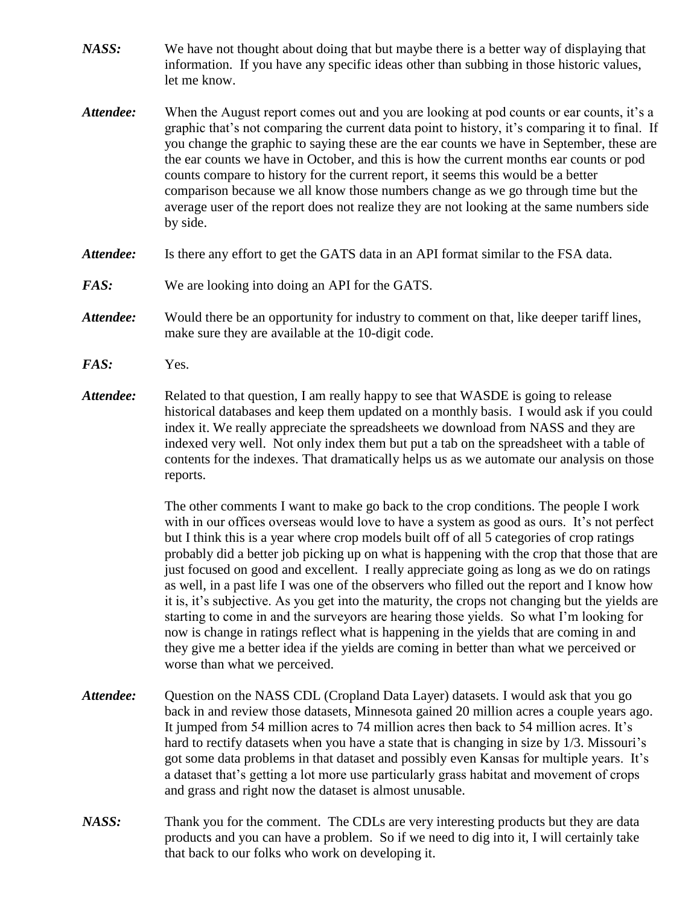- *NASS:* We have not thought about doing that but maybe there is a better way of displaying that information. If you have any specific ideas other than subbing in those historic values, let me know.
- *Attendee:* When the August report comes out and you are looking at pod counts or ear counts, it's a graphic that's not comparing the current data point to history, it's comparing it to final. If you change the graphic to saying these are the ear counts we have in September, these are the ear counts we have in October, and this is how the current months ear counts or pod counts compare to history for the current report, it seems this would be a better comparison because we all know those numbers change as we go through time but the average user of the report does not realize they are not looking at the same numbers side by side.
- *Attendee:* Is there any effort to get the GATS data in an API format similar to the FSA data.
- *FAS:* We are looking into doing an API for the GATS.
- *Attendee:* Would there be an opportunity for industry to comment on that, like deeper tariff lines, make sure they are available at the 10-digit code.
- *FAS:* Yes.
- *Attendee:* Related to that question, I am really happy to see that WASDE is going to release historical databases and keep them updated on a monthly basis. I would ask if you could index it. We really appreciate the spreadsheets we download from NASS and they are indexed very well. Not only index them but put a tab on the spreadsheet with a table of contents for the indexes. That dramatically helps us as we automate our analysis on those reports.

The other comments I want to make go back to the crop conditions. The people I work with in our offices overseas would love to have a system as good as ours. It's not perfect but I think this is a year where crop models built off of all 5 categories of crop ratings probably did a better job picking up on what is happening with the crop that those that are just focused on good and excellent. I really appreciate going as long as we do on ratings as well, in a past life I was one of the observers who filled out the report and I know how it is, it's subjective. As you get into the maturity, the crops not changing but the yields are starting to come in and the surveyors are hearing those yields. So what I'm looking for now is change in ratings reflect what is happening in the yields that are coming in and they give me a better idea if the yields are coming in better than what we perceived or worse than what we perceived.

- *Attendee:* Question on the NASS CDL (Cropland Data Layer) datasets. I would ask that you go back in and review those datasets, Minnesota gained 20 million acres a couple years ago. It jumped from 54 million acres to 74 million acres then back to 54 million acres. It's hard to rectify datasets when you have a state that is changing in size by 1/3. Missouri's got some data problems in that dataset and possibly even Kansas for multiple years. It's a dataset that's getting a lot more use particularly grass habitat and movement of crops and grass and right now the dataset is almost unusable.
- *NASS:* Thank you for the comment. The CDLs are very interesting products but they are data products and you can have a problem. So if we need to dig into it, I will certainly take that back to our folks who work on developing it.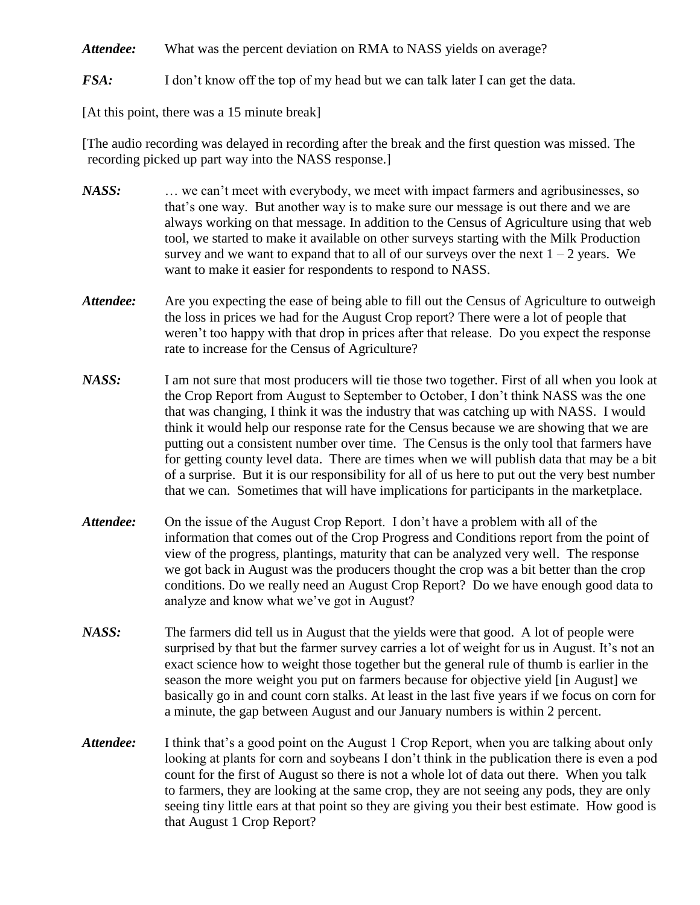Attendee: What was the percent deviation on RMA to NASS yields on average?

*FSA:* I don't know off the top of my head but we can talk later I can get the data.

[At this point, there was a 15 minute break]

[The audio recording was delayed in recording after the break and the first question was missed. The recording picked up part way into the NASS response.]

- *NASS:* … we can't meet with everybody, we meet with impact farmers and agribusinesses, so that's one way. But another way is to make sure our message is out there and we are always working on that message. In addition to the Census of Agriculture using that web tool, we started to make it available on other surveys starting with the Milk Production survey and we want to expand that to all of our surveys over the next  $1 - 2$  years. We want to make it easier for respondents to respond to NASS.
- *Attendee:* Are you expecting the ease of being able to fill out the Census of Agriculture to outweigh the loss in prices we had for the August Crop report? There were a lot of people that weren't too happy with that drop in prices after that release. Do you expect the response rate to increase for the Census of Agriculture?
- *NASS:* I am not sure that most producers will tie those two together. First of all when you look at the Crop Report from August to September to October, I don't think NASS was the one that was changing, I think it was the industry that was catching up with NASS. I would think it would help our response rate for the Census because we are showing that we are putting out a consistent number over time. The Census is the only tool that farmers have for getting county level data. There are times when we will publish data that may be a bit of a surprise. But it is our responsibility for all of us here to put out the very best number that we can. Sometimes that will have implications for participants in the marketplace.
- *Attendee:* On the issue of the August Crop Report. I don't have a problem with all of the information that comes out of the Crop Progress and Conditions report from the point of view of the progress, plantings, maturity that can be analyzed very well. The response we got back in August was the producers thought the crop was a bit better than the crop conditions. Do we really need an August Crop Report? Do we have enough good data to analyze and know what we've got in August?
- *NASS:* The farmers did tell us in August that the yields were that good. A lot of people were surprised by that but the farmer survey carries a lot of weight for us in August. It's not an exact science how to weight those together but the general rule of thumb is earlier in the season the more weight you put on farmers because for objective yield [in August] we basically go in and count corn stalks. At least in the last five years if we focus on corn for a minute, the gap between August and our January numbers is within 2 percent.
- *Attendee:* I think that's a good point on the August 1 Crop Report, when you are talking about only looking at plants for corn and soybeans I don't think in the publication there is even a pod count for the first of August so there is not a whole lot of data out there. When you talk to farmers, they are looking at the same crop, they are not seeing any pods, they are only seeing tiny little ears at that point so they are giving you their best estimate. How good is that August 1 Crop Report?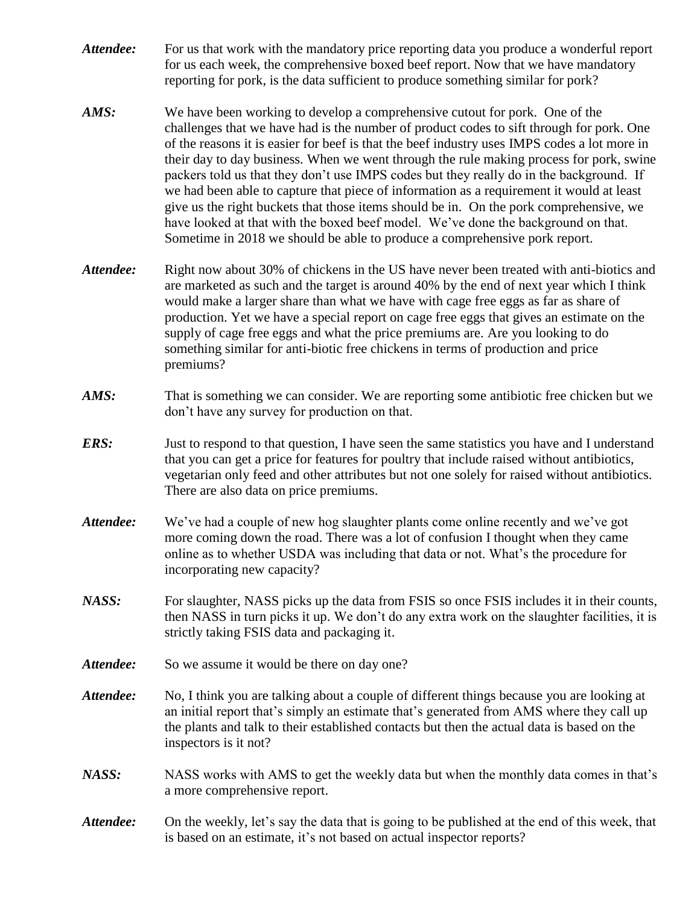- *Attendee:* For us that work with the mandatory price reporting data you produce a wonderful report for us each week, the comprehensive boxed beef report. Now that we have mandatory reporting for pork, is the data sufficient to produce something similar for pork?
- *AMS:* We have been working to develop a comprehensive cutout for pork. One of the challenges that we have had is the number of product codes to sift through for pork. One of the reasons it is easier for beef is that the beef industry uses IMPS codes a lot more in their day to day business. When we went through the rule making process for pork, swine packers told us that they don't use IMPS codes but they really do in the background. If we had been able to capture that piece of information as a requirement it would at least give us the right buckets that those items should be in. On the pork comprehensive, we have looked at that with the boxed beef model. We've done the background on that. Sometime in 2018 we should be able to produce a comprehensive pork report.
- *Attendee:* Right now about 30% of chickens in the US have never been treated with anti-biotics and are marketed as such and the target is around 40% by the end of next year which I think would make a larger share than what we have with cage free eggs as far as share of production. Yet we have a special report on cage free eggs that gives an estimate on the supply of cage free eggs and what the price premiums are. Are you looking to do something similar for anti-biotic free chickens in terms of production and price premiums?
- *AMS:* That is something we can consider. We are reporting some antibiotic free chicken but we don't have any survey for production on that.
- *ERS:* Just to respond to that question, I have seen the same statistics you have and I understand that you can get a price for features for poultry that include raised without antibiotics, vegetarian only feed and other attributes but not one solely for raised without antibiotics. There are also data on price premiums.
- *Attendee:* We've had a couple of new hog slaughter plants come online recently and we've got more coming down the road. There was a lot of confusion I thought when they came online as to whether USDA was including that data or not. What's the procedure for incorporating new capacity?
- *NASS:* For slaughter, NASS picks up the data from FSIS so once FSIS includes it in their counts, then NASS in turn picks it up. We don't do any extra work on the slaughter facilities, it is strictly taking FSIS data and packaging it.
- Attendee: So we assume it would be there on day one?
- *Attendee:* No, I think you are talking about a couple of different things because you are looking at an initial report that's simply an estimate that's generated from AMS where they call up the plants and talk to their established contacts but then the actual data is based on the inspectors is it not?
- *NASS:* NASS works with AMS to get the weekly data but when the monthly data comes in that's a more comprehensive report.
- *Attendee:* On the weekly, let's say the data that is going to be published at the end of this week, that is based on an estimate, it's not based on actual inspector reports?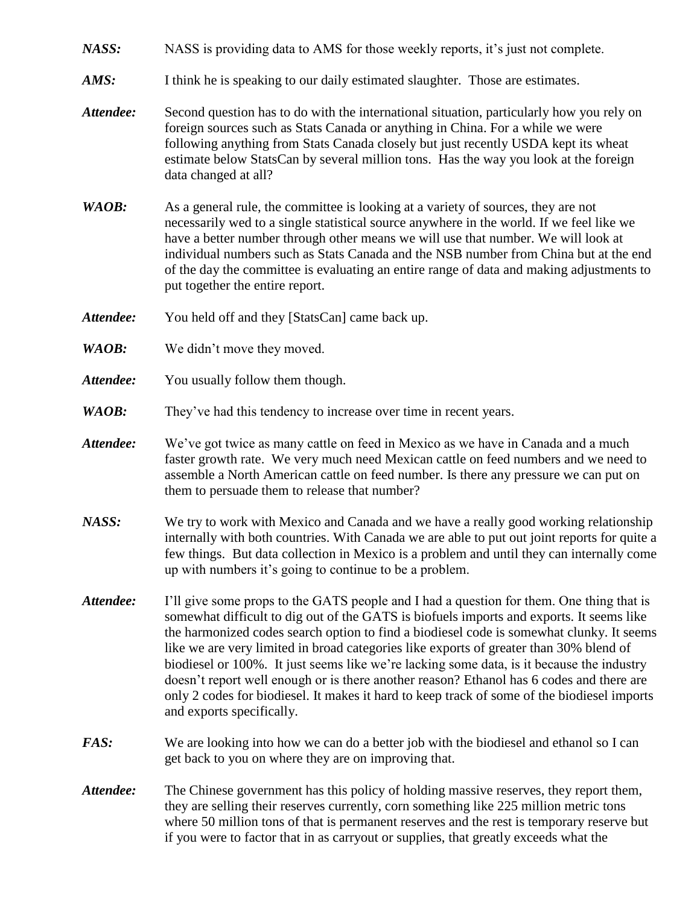- *NASS:* NASS is providing data to AMS for those weekly reports, it's just not complete.
- *AMS:* I think he is speaking to our daily estimated slaughter. Those are estimates.
- *Attendee:* Second question has to do with the international situation, particularly how you rely on foreign sources such as Stats Canada or anything in China. For a while we were following anything from Stats Canada closely but just recently USDA kept its wheat estimate below StatsCan by several million tons. Has the way you look at the foreign data changed at all?
- *WAOB*: As a general rule, the committee is looking at a variety of sources, they are not necessarily wed to a single statistical source anywhere in the world. If we feel like we have a better number through other means we will use that number. We will look at individual numbers such as Stats Canada and the NSB number from China but at the end of the day the committee is evaluating an entire range of data and making adjustments to put together the entire report.
- *Attendee:* You held off and they [StatsCan] came back up.
- *WAOB:* We didn't move they moved.
- Attendee: You usually follow them though.
- *WAOB:* They've had this tendency to increase over time in recent years.
- *Attendee:* We've got twice as many cattle on feed in Mexico as we have in Canada and a much faster growth rate. We very much need Mexican cattle on feed numbers and we need to assemble a North American cattle on feed number. Is there any pressure we can put on them to persuade them to release that number?
- *NASS:* We try to work with Mexico and Canada and we have a really good working relationship internally with both countries. With Canada we are able to put out joint reports for quite a few things. But data collection in Mexico is a problem and until they can internally come up with numbers it's going to continue to be a problem.
- *Attendee:* I'll give some props to the GATS people and I had a question for them. One thing that is somewhat difficult to dig out of the GATS is biofuels imports and exports. It seems like the harmonized codes search option to find a biodiesel code is somewhat clunky. It seems like we are very limited in broad categories like exports of greater than 30% blend of biodiesel or 100%. It just seems like we're lacking some data, is it because the industry doesn't report well enough or is there another reason? Ethanol has 6 codes and there are only 2 codes for biodiesel. It makes it hard to keep track of some of the biodiesel imports and exports specifically.
- *FAS*: We are looking into how we can do a better job with the biodiesel and ethanol so I can get back to you on where they are on improving that.
- *Attendee:* The Chinese government has this policy of holding massive reserves, they report them, they are selling their reserves currently, corn something like 225 million metric tons where 50 million tons of that is permanent reserves and the rest is temporary reserve but if you were to factor that in as carryout or supplies, that greatly exceeds what the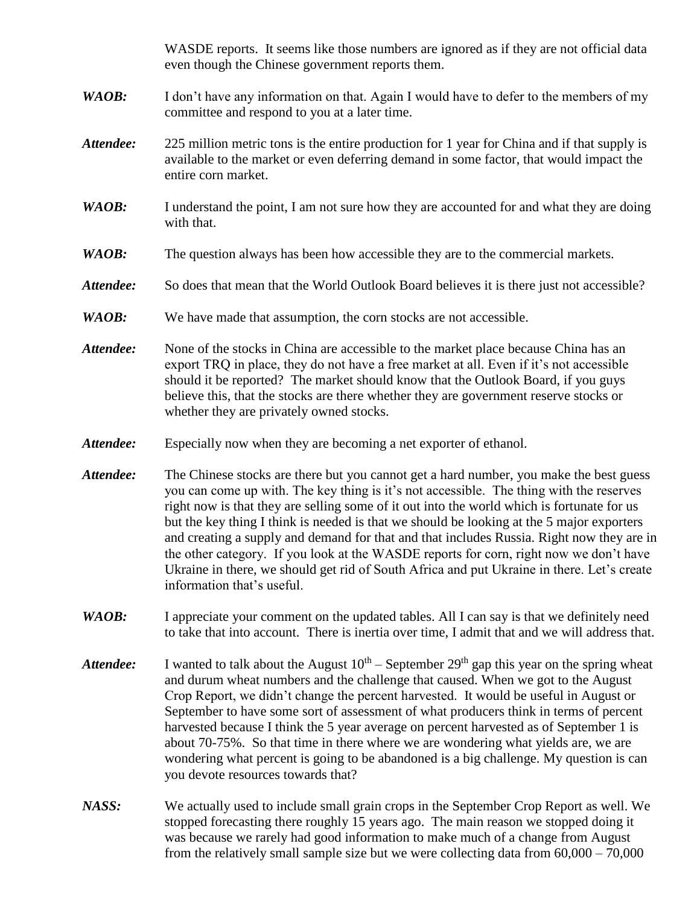WASDE reports. It seems like those numbers are ignored as if they are not official data even though the Chinese government reports them.

- *WAOB*: I don't have any information on that. Again I would have to defer to the members of my committee and respond to you at a later time.
- *Attendee:* 225 million metric tons is the entire production for 1 year for China and if that supply is available to the market or even deferring demand in some factor, that would impact the entire corn market.
- *WAOB*: I understand the point, I am not sure how they are accounted for and what they are doing with that.
- *WAOB:* The question always has been how accessible they are to the commercial markets.
- Attendee: So does that mean that the World Outlook Board believes it is there just not accessible?
- *WAOB*: We have made that assumption, the corn stocks are not accessible.
- Attendee: None of the stocks in China are accessible to the market place because China has an export TRQ in place, they do not have a free market at all. Even if it's not accessible should it be reported? The market should know that the Outlook Board, if you guys believe this, that the stocks are there whether they are government reserve stocks or whether they are privately owned stocks.
- *Attendee:* Especially now when they are becoming a net exporter of ethanol.
- *Attendee:* The Chinese stocks are there but you cannot get a hard number, you make the best guess you can come up with. The key thing is it's not accessible. The thing with the reserves right now is that they are selling some of it out into the world which is fortunate for us but the key thing I think is needed is that we should be looking at the 5 major exporters and creating a supply and demand for that and that includes Russia. Right now they are in the other category. If you look at the WASDE reports for corn, right now we don't have Ukraine in there, we should get rid of South Africa and put Ukraine in there. Let's create information that's useful.
- *WAOB*: I appreciate your comment on the updated tables. All I can say is that we definitely need to take that into account. There is inertia over time, I admit that and we will address that.
- Attendee: I wanted to talk about the August  $10^{th}$  September  $29^{th}$  gap this year on the spring wheat and durum wheat numbers and the challenge that caused. When we got to the August Crop Report, we didn't change the percent harvested. It would be useful in August or September to have some sort of assessment of what producers think in terms of percent harvested because I think the 5 year average on percent harvested as of September 1 is about 70-75%. So that time in there where we are wondering what yields are, we are wondering what percent is going to be abandoned is a big challenge. My question is can you devote resources towards that?
- *NASS:* We actually used to include small grain crops in the September Crop Report as well. We stopped forecasting there roughly 15 years ago. The main reason we stopped doing it was because we rarely had good information to make much of a change from August from the relatively small sample size but we were collecting data from 60,000 – 70,000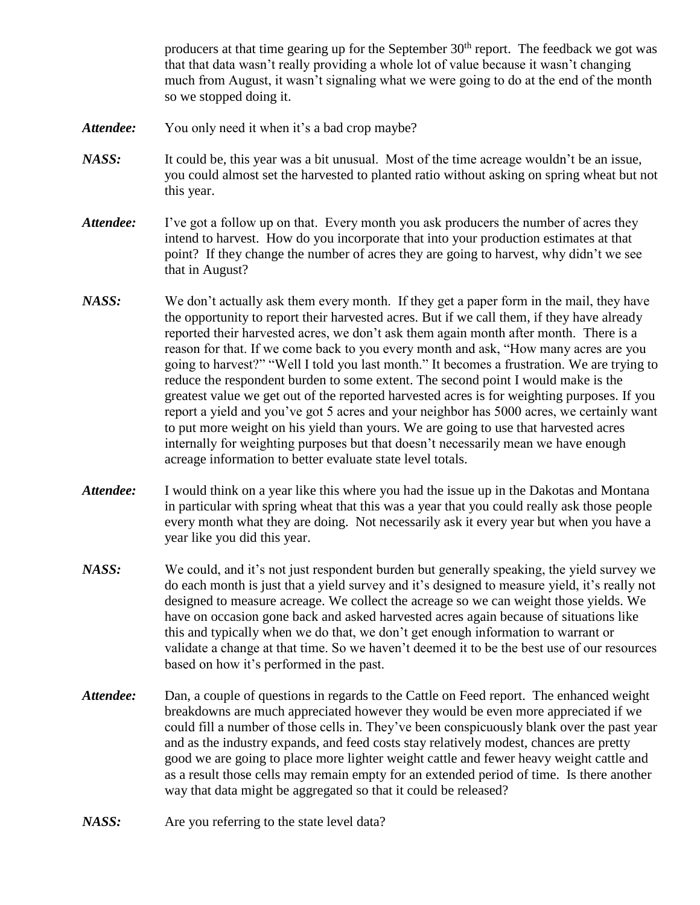producers at that time gearing up for the September  $30<sup>th</sup>$  report. The feedback we got was that that data wasn't really providing a whole lot of value because it wasn't changing much from August, it wasn't signaling what we were going to do at the end of the month so we stopped doing it.

- Attendee: You only need it when it's a bad crop maybe?
- *NASS:* It could be, this year was a bit unusual. Most of the time acreage wouldn't be an issue, you could almost set the harvested to planted ratio without asking on spring wheat but not this year.
- *Attendee:* I've got a follow up on that. Every month you ask producers the number of acres they intend to harvest. How do you incorporate that into your production estimates at that point? If they change the number of acres they are going to harvest, why didn't we see that in August?
- *NASS:* We don't actually ask them every month. If they get a paper form in the mail, they have the opportunity to report their harvested acres. But if we call them, if they have already reported their harvested acres, we don't ask them again month after month. There is a reason for that. If we come back to you every month and ask, "How many acres are you going to harvest?" "Well I told you last month." It becomes a frustration. We are trying to reduce the respondent burden to some extent. The second point I would make is the greatest value we get out of the reported harvested acres is for weighting purposes. If you report a yield and you've got 5 acres and your neighbor has 5000 acres, we certainly want to put more weight on his yield than yours. We are going to use that harvested acres internally for weighting purposes but that doesn't necessarily mean we have enough acreage information to better evaluate state level totals.
- *Attendee:* I would think on a year like this where you had the issue up in the Dakotas and Montana in particular with spring wheat that this was a year that you could really ask those people every month what they are doing. Not necessarily ask it every year but when you have a year like you did this year.
- *NASS:* We could, and it's not just respondent burden but generally speaking, the yield survey we do each month is just that a yield survey and it's designed to measure yield, it's really not designed to measure acreage. We collect the acreage so we can weight those yields. We have on occasion gone back and asked harvested acres again because of situations like this and typically when we do that, we don't get enough information to warrant or validate a change at that time. So we haven't deemed it to be the best use of our resources based on how it's performed in the past.
- *Attendee:* Dan, a couple of questions in regards to the Cattle on Feed report. The enhanced weight breakdowns are much appreciated however they would be even more appreciated if we could fill a number of those cells in. They've been conspicuously blank over the past year and as the industry expands, and feed costs stay relatively modest, chances are pretty good we are going to place more lighter weight cattle and fewer heavy weight cattle and as a result those cells may remain empty for an extended period of time. Is there another way that data might be aggregated so that it could be released?
- *NASS:* Are you referring to the state level data?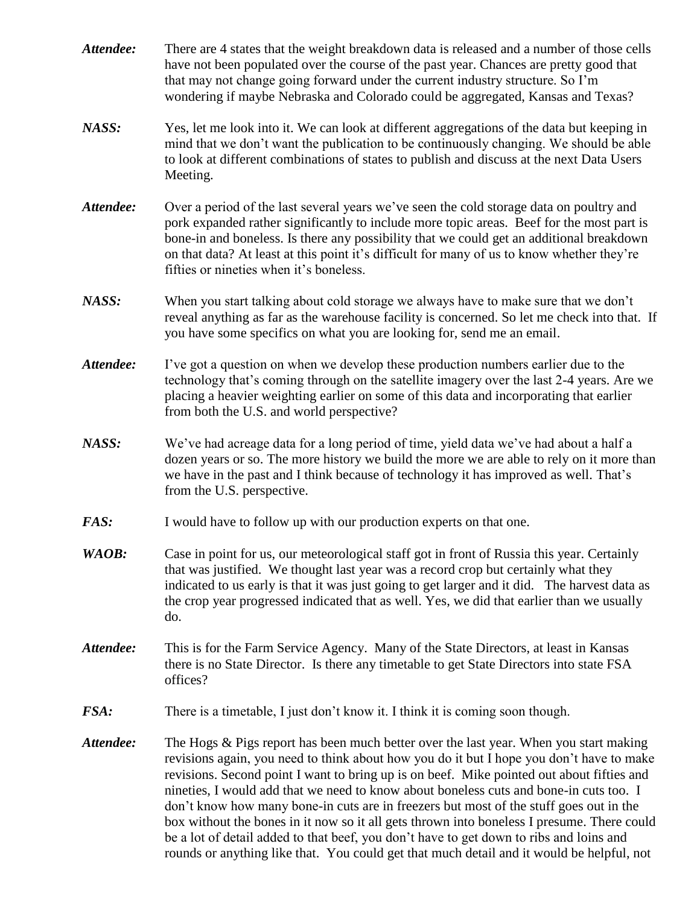- *Attendee:* There are 4 states that the weight breakdown data is released and a number of those cells have not been populated over the course of the past year. Chances are pretty good that that may not change going forward under the current industry structure. So I'm wondering if maybe Nebraska and Colorado could be aggregated, Kansas and Texas?
- *NASS:* Yes, let me look into it. We can look at different aggregations of the data but keeping in mind that we don't want the publication to be continuously changing. We should be able to look at different combinations of states to publish and discuss at the next Data Users Meeting.
- Attendee: Over a period of the last several years we've seen the cold storage data on poultry and pork expanded rather significantly to include more topic areas. Beef for the most part is bone-in and boneless. Is there any possibility that we could get an additional breakdown on that data? At least at this point it's difficult for many of us to know whether they're fifties or nineties when it's boneless.
- *NASS:* When you start talking about cold storage we always have to make sure that we don't reveal anything as far as the warehouse facility is concerned. So let me check into that. If you have some specifics on what you are looking for, send me an email.
- *Attendee:* I've got a question on when we develop these production numbers earlier due to the technology that's coming through on the satellite imagery over the last 2-4 years. Are we placing a heavier weighting earlier on some of this data and incorporating that earlier from both the U.S. and world perspective?
- *NASS:* We've had acreage data for a long period of time, yield data we've had about a half a dozen years or so. The more history we build the more we are able to rely on it more than we have in the past and I think because of technology it has improved as well. That's from the U.S. perspective.
- *FAS:* I would have to follow up with our production experts on that one.
- *WAOB*: Case in point for us, our meteorological staff got in front of Russia this year. Certainly that was justified. We thought last year was a record crop but certainly what they indicated to us early is that it was just going to get larger and it did. The harvest data as the crop year progressed indicated that as well. Yes, we did that earlier than we usually do.
- *Attendee:* This is for the Farm Service Agency. Many of the State Directors, at least in Kansas there is no State Director. Is there any timetable to get State Directors into state FSA offices?
- *FSA*: There is a timetable, I just don't know it. I think it is coming soon though.
- *Attendee:* The Hogs & Pigs report has been much better over the last year. When you start making revisions again, you need to think about how you do it but I hope you don't have to make revisions. Second point I want to bring up is on beef. Mike pointed out about fifties and nineties, I would add that we need to know about boneless cuts and bone-in cuts too. I don't know how many bone-in cuts are in freezers but most of the stuff goes out in the box without the bones in it now so it all gets thrown into boneless I presume. There could be a lot of detail added to that beef, you don't have to get down to ribs and loins and rounds or anything like that. You could get that much detail and it would be helpful, not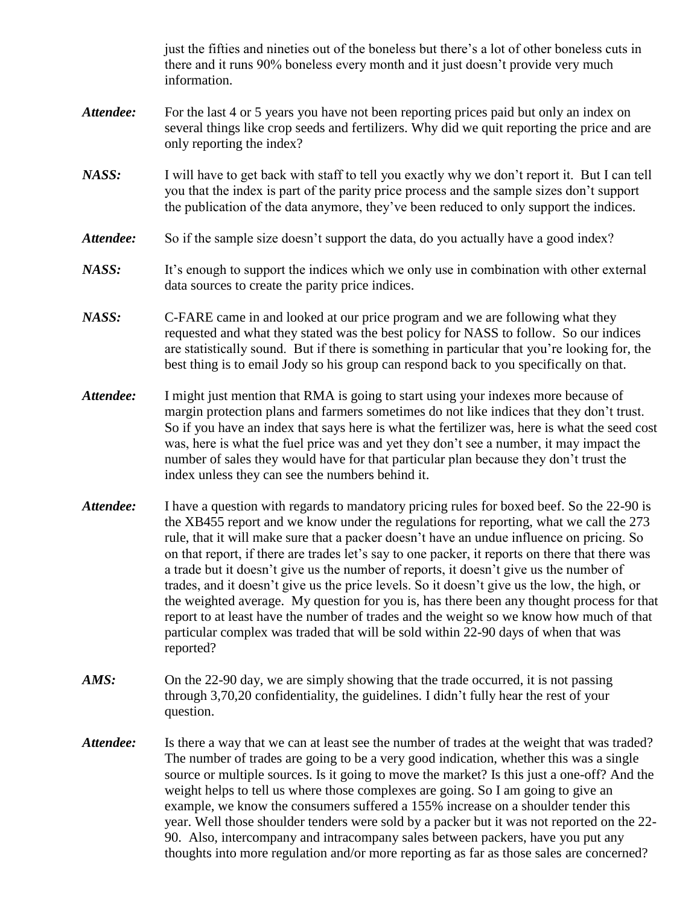just the fifties and nineties out of the boneless but there's a lot of other boneless cuts in there and it runs 90% boneless every month and it just doesn't provide very much information.

- Attendee: For the last 4 or 5 years you have not been reporting prices paid but only an index on several things like crop seeds and fertilizers. Why did we quit reporting the price and are only reporting the index?
- *NASS:* I will have to get back with staff to tell you exactly why we don't report it. But I can tell you that the index is part of the parity price process and the sample sizes don't support the publication of the data anymore, they've been reduced to only support the indices.
- Attendee: So if the sample size doesn't support the data, do you actually have a good index?
- *NASS:* It's enough to support the indices which we only use in combination with other external data sources to create the parity price indices.
- *NASS:* C-FARE came in and looked at our price program and we are following what they requested and what they stated was the best policy for NASS to follow. So our indices are statistically sound. But if there is something in particular that you're looking for, the best thing is to email Jody so his group can respond back to you specifically on that.
- Attendee: I might just mention that RMA is going to start using your indexes more because of margin protection plans and farmers sometimes do not like indices that they don't trust. So if you have an index that says here is what the fertilizer was, here is what the seed cost was, here is what the fuel price was and yet they don't see a number, it may impact the number of sales they would have for that particular plan because they don't trust the index unless they can see the numbers behind it.
- *Attendee:* I have a question with regards to mandatory pricing rules for boxed beef. So the 22-90 is the XB455 report and we know under the regulations for reporting, what we call the 273 rule, that it will make sure that a packer doesn't have an undue influence on pricing. So on that report, if there are trades let's say to one packer, it reports on there that there was a trade but it doesn't give us the number of reports, it doesn't give us the number of trades, and it doesn't give us the price levels. So it doesn't give us the low, the high, or the weighted average. My question for you is, has there been any thought process for that report to at least have the number of trades and the weight so we know how much of that particular complex was traded that will be sold within 22-90 days of when that was reported?
- *AMS:* On the 22-90 day, we are simply showing that the trade occurred, it is not passing through 3,70,20 confidentiality, the guidelines. I didn't fully hear the rest of your question.
- Attendee: Is there a way that we can at least see the number of trades at the weight that was traded? The number of trades are going to be a very good indication, whether this was a single source or multiple sources. Is it going to move the market? Is this just a one-off? And the weight helps to tell us where those complexes are going. So I am going to give an example, we know the consumers suffered a 155% increase on a shoulder tender this year. Well those shoulder tenders were sold by a packer but it was not reported on the 22- 90. Also, intercompany and intracompany sales between packers, have you put any thoughts into more regulation and/or more reporting as far as those sales are concerned?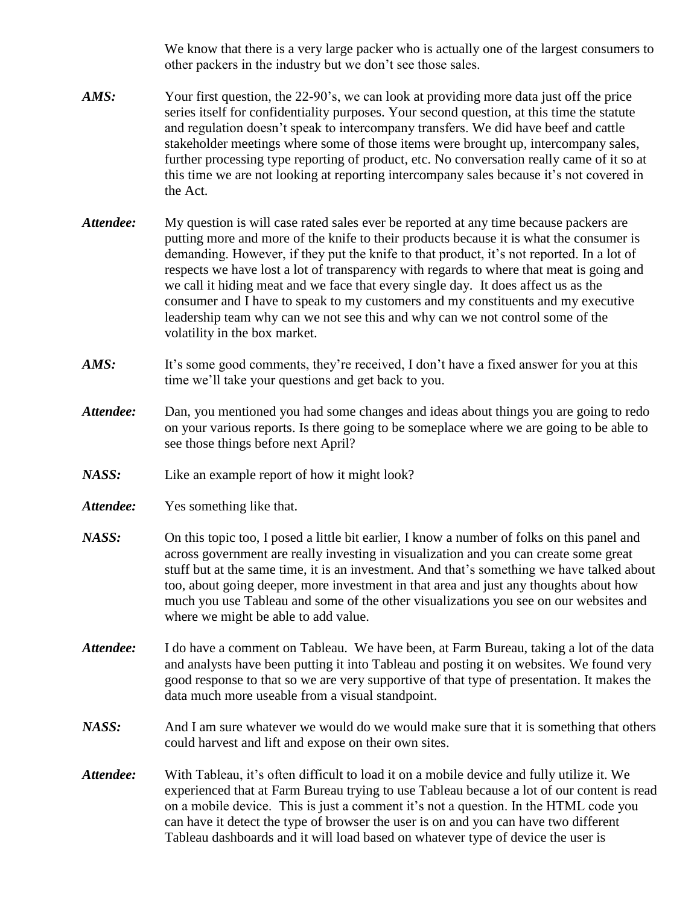We know that there is a very large packer who is actually one of the largest consumers to other packers in the industry but we don't see those sales.

- *AMS:* Your first question, the 22-90's, we can look at providing more data just off the price series itself for confidentiality purposes. Your second question, at this time the statute and regulation doesn't speak to intercompany transfers. We did have beef and cattle stakeholder meetings where some of those items were brought up, intercompany sales, further processing type reporting of product, etc. No conversation really came of it so at this time we are not looking at reporting intercompany sales because it's not covered in the Act.
- *Attendee:* My question is will case rated sales ever be reported at any time because packers are putting more and more of the knife to their products because it is what the consumer is demanding. However, if they put the knife to that product, it's not reported. In a lot of respects we have lost a lot of transparency with regards to where that meat is going and we call it hiding meat and we face that every single day. It does affect us as the consumer and I have to speak to my customers and my constituents and my executive leadership team why can we not see this and why can we not control some of the volatility in the box market.
- *AMS:* It's some good comments, they're received, I don't have a fixed answer for you at this time we'll take your questions and get back to you.
- *Attendee:* Dan, you mentioned you had some changes and ideas about things you are going to redo on your various reports. Is there going to be someplace where we are going to be able to see those things before next April?
- *NASS:* Like an example report of how it might look?
- *Attendee:* Yes something like that.
- *NASS:* On this topic too, I posed a little bit earlier, I know a number of folks on this panel and across government are really investing in visualization and you can create some great stuff but at the same time, it is an investment. And that's something we have talked about too, about going deeper, more investment in that area and just any thoughts about how much you use Tableau and some of the other visualizations you see on our websites and where we might be able to add value.
- *Attendee:* I do have a comment on Tableau. We have been, at Farm Bureau, taking a lot of the data and analysts have been putting it into Tableau and posting it on websites. We found very good response to that so we are very supportive of that type of presentation. It makes the data much more useable from a visual standpoint.
- *NASS:* And I am sure whatever we would do we would make sure that it is something that others could harvest and lift and expose on their own sites.
- *Attendee:* With Tableau, it's often difficult to load it on a mobile device and fully utilize it. We experienced that at Farm Bureau trying to use Tableau because a lot of our content is read on a mobile device. This is just a comment it's not a question. In the HTML code you can have it detect the type of browser the user is on and you can have two different Tableau dashboards and it will load based on whatever type of device the user is